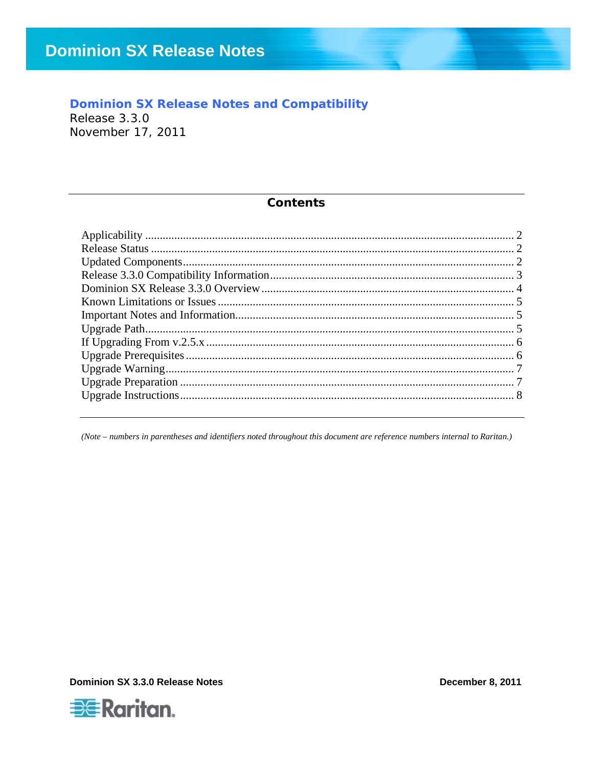### **Dominion SX Release Notes and Compatibility**

Release 3.3.0 November 17, 2011

#### **Contents**

(Note - numbers in parentheses and identifiers noted throughout this document are reference numbers internal to Raritan.)

**Dominion SX 3.3.0 Release Notes** 

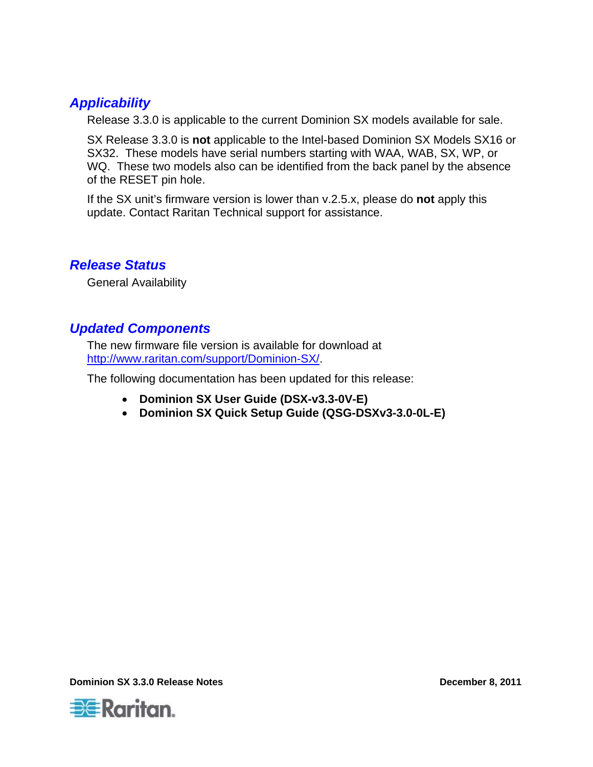## <span id="page-1-0"></span>*Applicability*

Release 3.3.0 is applicable to the current Dominion SX models available for sale.

SX Release 3.3.0 is **not** applicable to the Intel-based Dominion SX Models SX16 or SX32. These models have serial numbers starting with WAA, WAB, SX, WP, or WQ. These two models also can be identified from the back panel by the absence of the RESET pin hole.

If the SX unit's firmware version is lower than v.2.5.x, please do **not** apply this update. Contact Raritan Technical support for assistance.

## *Release Status*

General Availability

## *Updated Components*

The new firmware file version is available for download at <http://www.raritan.com/support/Dominion-SX/>.

The following documentation has been updated for this release:

- **Dominion SX User Guide (DSX-v3.3-0V-E)**
- **Dominion SX Quick Setup Guide (QSG-DSXv3-3.0-0L-E)**

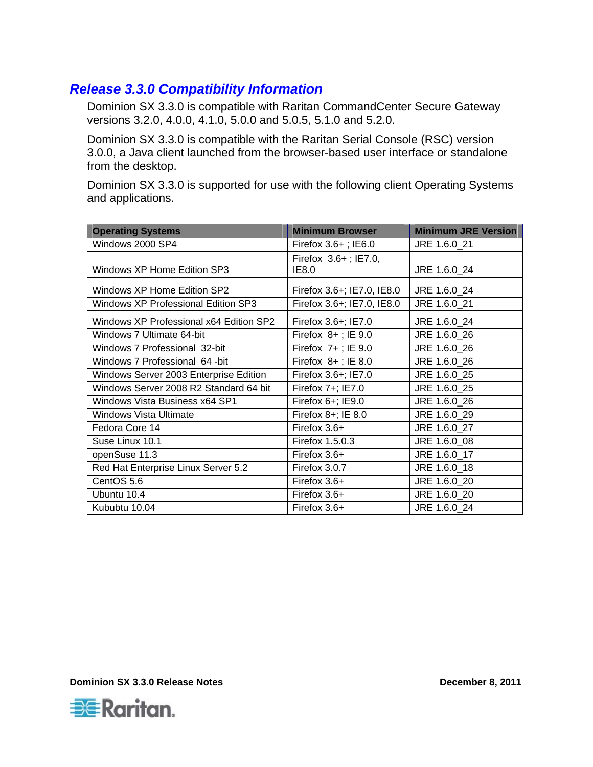## <span id="page-2-0"></span>*Release 3.3.0 Compatibility Information*

Dominion SX 3.3.0 is compatible with Raritan CommandCenter Secure Gateway versions 3.2.0, 4.0.0, 4.1.0, 5.0.0 and 5.0.5, 5.1.0 and 5.2.0.

Dominion SX 3.3.0 is compatible with the Raritan Serial Console (RSC) version 3.0.0, a Java client launched from the browser-based user interface or standalone from the desktop.

Dominion SX 3.3.0 is supported for use with the following client Operating Systems and applications.

| <b>Operating Systems</b>                   | <b>Minimum Browser</b>        | <b>Minimum JRE Version</b> |
|--------------------------------------------|-------------------------------|----------------------------|
| Windows 2000 SP4                           | Firefox $3.6+$ ; IE6.0        | JRE 1.6.0 21               |
| Windows XP Home Edition SP3                | Firefox 3.6+; IE7.0,<br>IE8.0 | JRE 1.6.0 24               |
| Windows XP Home Edition SP2                | Firefox 3.6+; IE7.0, IE8.0    | JRE 1.6.0_24               |
| <b>Windows XP Professional Edition SP3</b> | Firefox 3.6+; IE7.0, IE8.0    | JRE 1.6.0 21               |
| Windows XP Professional x64 Edition SP2    | Firefox 3.6+; IE7.0           | JRE 1.6.0_24               |
| Windows 7 Ultimate 64-bit                  | Firefox $8+$ ; IE 9.0         | JRE 1.6.0_26               |
| Windows 7 Professional 32-bit              | Firefox $7+$ ; IE 9.0         | JRE 1.6.0_26               |
| Windows 7 Professional 64 -bit             | Firefox $8+$ ; IE 8.0         | JRE 1.6.0 26               |
| Windows Server 2003 Enterprise Edition     | Firefox 3.6+; IE7.0           | JRE 1.6.0_25               |
| Windows Server 2008 R2 Standard 64 bit     | Firefox 7+; IE7.0             | JRE 1.6.0 25               |
| Windows Vista Business x64 SP1             | Firefox 6+; IE9.0             | JRE 1.6.0 26               |
| Windows Vista Ultimate                     | Firefox $8+$ ; IE $8.0$       | JRE 1.6.0_29               |
| Fedora Core 14                             | Firefox $3.6+$                | JRE 1.6.0 27               |
| Suse Linux 10.1                            | Firefox 1.5.0.3               | JRE 1.6.0 08               |
| openSuse 11.3                              | Firefox $3.6+$                | JRE 1.6.0_17               |
| Red Hat Enterprise Linux Server 5.2        | Firefox 3.0.7                 | JRE 1.6.0_18               |
| CentOS 5.6                                 | Firefox $3.6+$                | JRE 1.6.0_20               |
| Ubuntu 10.4                                | Firefox 3.6+                  | JRE 1.6.0_20               |
| Kububtu 10.04                              | Firefox 3.6+                  | JRE 1.6.0 24               |

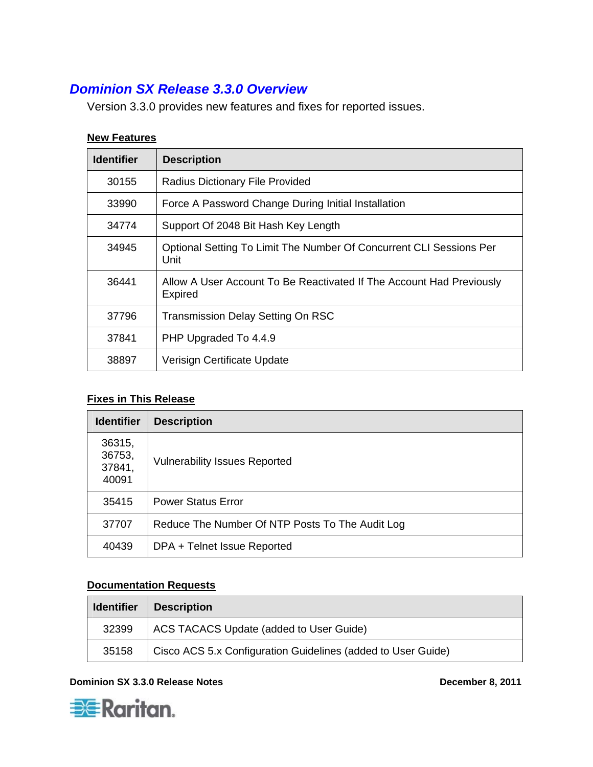# <span id="page-3-0"></span>*Dominion SX Release 3.3.0 Overview*

Version 3.3.0 provides new features and fixes for reported issues.

### **New Features**

| <b>Identifier</b> | <b>Description</b>                                                                     |
|-------------------|----------------------------------------------------------------------------------------|
| 30155             | Radius Dictionary File Provided                                                        |
| 33990             | Force A Password Change During Initial Installation                                    |
| 34774             | Support Of 2048 Bit Hash Key Length                                                    |
| 34945             | Optional Setting To Limit The Number Of Concurrent CLI Sessions Per<br>Unit            |
| 36441             | Allow A User Account To Be Reactivated If The Account Had Previously<br><b>Expired</b> |
| 37796             | <b>Transmission Delay Setting On RSC</b>                                               |
| 37841             | PHP Upgraded To 4.4.9                                                                  |
| 38897             | Verisign Certificate Update                                                            |

### **Fixes in This Release**

| <b>Identifier</b>                   | <b>Description</b>                              |
|-------------------------------------|-------------------------------------------------|
| 36315,<br>36753,<br>37841,<br>40091 | <b>Vulnerability Issues Reported</b>            |
| 35415                               | <b>Power Status Error</b>                       |
| 37707                               | Reduce The Number Of NTP Posts To The Audit Log |
| 40439                               | DPA + Telnet Issue Reported                     |

### **Documentation Requests**

| <b>Identifier</b> | <b>Description</b>                                           |  |
|-------------------|--------------------------------------------------------------|--|
| 32399             | ACS TACACS Update (added to User Guide)                      |  |
| 35158             | Cisco ACS 5.x Configuration Guidelines (added to User Guide) |  |



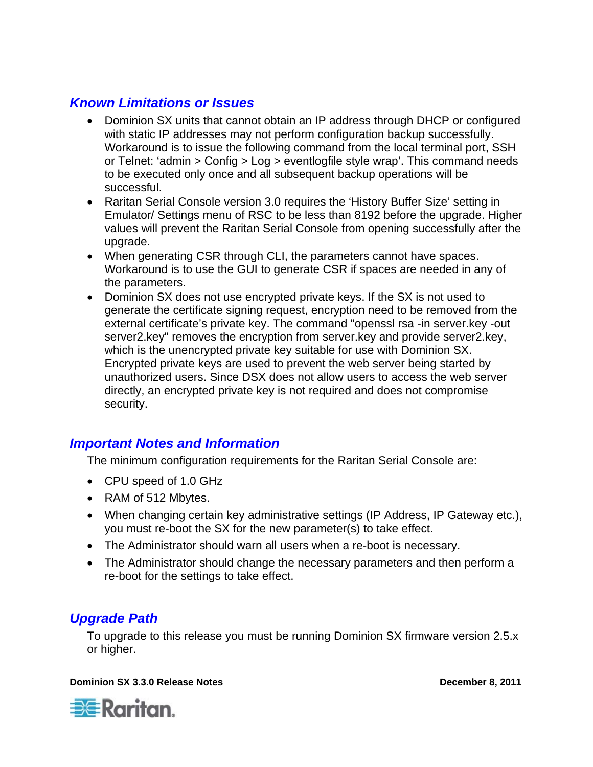## <span id="page-4-0"></span>*Known Limitations or Issues*

- Dominion SX units that cannot obtain an IP address through DHCP or configured with static IP addresses may not perform configuration backup successfully. Workaround is to issue the following command from the local terminal port, SSH or Telnet: 'admin > Config > Log > eventlogfile style wrap'. This command needs to be executed only once and all subsequent backup operations will be successful.
- Raritan Serial Console version 3.0 requires the 'History Buffer Size' setting in Emulator/ Settings menu of RSC to be less than 8192 before the upgrade. Higher values will prevent the Raritan Serial Console from opening successfully after the upgrade.
- When generating CSR through CLI, the parameters cannot have spaces. Workaround is to use the GUI to generate CSR if spaces are needed in any of the parameters.
- Dominion SX does not use encrypted private keys. If the SX is not used to generate the certificate signing request, encryption need to be removed from the external certificate's private key. The command "openssl rsa -in server.key -out server2.key" removes the encryption from server.key and provide server2.key, which is the unencrypted private key suitable for use with Dominion SX. Encrypted private keys are used to prevent the web server being started by unauthorized users. Since DSX does not allow users to access the web server directly, an encrypted private key is not required and does not compromise security.

## *Important Notes and Information*

The minimum configuration requirements for the Raritan Serial Console are:

- CPU speed of 1.0 GHz
- RAM of 512 Mbytes.
- When changing certain key administrative settings (IP Address, IP Gateway etc.), you must re-boot the SX for the new parameter(s) to take effect.
- The Administrator should warn all users when a re-boot is necessary.
- The Administrator should change the necessary parameters and then perform a re-boot for the settings to take effect.

# *Upgrade Path*

To upgrade to this release you must be running Dominion SX firmware version 2.5.x or higher.

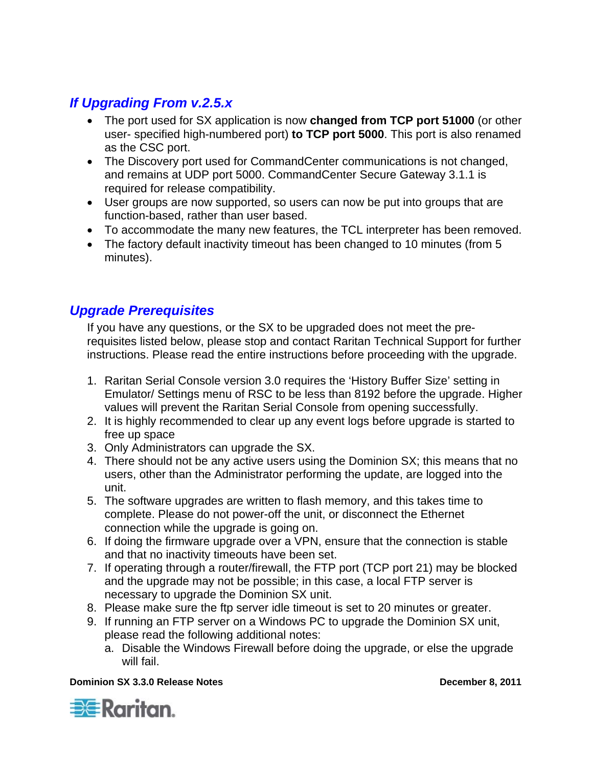# <span id="page-5-0"></span>*If Upgrading From v.2.5.x*

- The port used for SX application is now **changed from TCP port 51000** (or other user- specified high-numbered port) **to TCP port 5000**. This port is also renamed as the CSC port.
- The Discovery port used for CommandCenter communications is not changed, and remains at UDP port 5000. CommandCenter Secure Gateway 3.1.1 is required for release compatibility.
- User groups are now supported, so users can now be put into groups that are function-based, rather than user based.
- To accommodate the many new features, the TCL interpreter has been removed.
- The factory default inactivity timeout has been changed to 10 minutes (from 5 minutes).

# *Upgrade Prerequisites*

If you have any questions, or the SX to be upgraded does not meet the prerequisites listed below, please stop and contact Raritan Technical Support for further instructions. Please read the entire instructions before proceeding with the upgrade.

- 1. Raritan Serial Console version 3.0 requires the 'History Buffer Size' setting in Emulator/ Settings menu of RSC to be less than 8192 before the upgrade. Higher values will prevent the Raritan Serial Console from opening successfully.
- 2. It is highly recommended to clear up any event logs before upgrade is started to free up space
- 3. Only Administrators can upgrade the SX.
- 4. There should not be any active users using the Dominion SX; this means that no users, other than the Administrator performing the update, are logged into the unit.
- 5. The software upgrades are written to flash memory, and this takes time to complete. Please do not power-off the unit, or disconnect the Ethernet connection while the upgrade is going on.
- 6. If doing the firmware upgrade over a VPN, ensure that the connection is stable and that no inactivity timeouts have been set.
- 7. If operating through a router/firewall, the FTP port (TCP port 21) may be blocked and the upgrade may not be possible; in this case, a local FTP server is necessary to upgrade the Dominion SX unit.
- 8. Please make sure the ftp server idle timeout is set to 20 minutes or greater.
- 9. If running an FTP server on a Windows PC to upgrade the Dominion SX unit, please read the following additional notes:
	- a. Disable the Windows Firewall before doing the upgrade, or else the upgrade will fail.

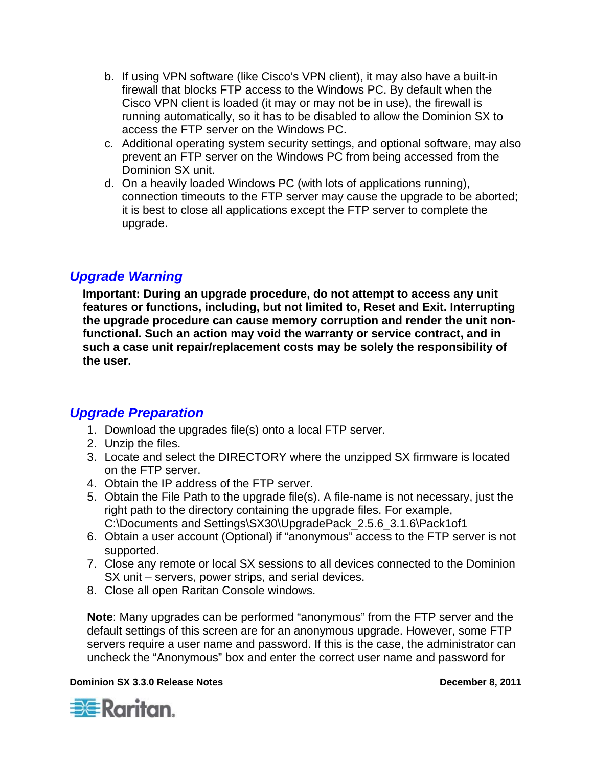- <span id="page-6-0"></span>b. If using VPN software (like Cisco's VPN client), it may also have a built-in firewall that blocks FTP access to the Windows PC. By default when the Cisco VPN client is loaded (it may or may not be in use), the firewall is running automatically, so it has to be disabled to allow the Dominion SX to access the FTP server on the Windows PC.
- c. Additional operating system security settings, and optional software, may also prevent an FTP server on the Windows PC from being accessed from the Dominion SX unit.
- d. On a heavily loaded Windows PC (with lots of applications running), connection timeouts to the FTP server may cause the upgrade to be aborted; it is best to close all applications except the FTP server to complete the upgrade.

## *Upgrade Warning*

**Important: During an upgrade procedure, do not attempt to access any unit features or functions, including, but not limited to, Reset and Exit. Interrupting the upgrade procedure can cause memory corruption and render the unit nonfunctional. Such an action may void the warranty or service contract, and in such a case unit repair/replacement costs may be solely the responsibility of the user.** 

## *Upgrade Preparation*

- 1. Download the upgrades file(s) onto a local FTP server.
- 2. Unzip the files.
- 3. Locate and select the DIRECTORY where the unzipped SX firmware is located on the FTP server.
- 4. Obtain the IP address of the FTP server.
- 5. Obtain the File Path to the upgrade file(s). A file-name is not necessary, just the right path to the directory containing the upgrade files. For example, C:\Documents and Settings\SX30\UpgradePack\_2.5.6\_3.1.6\Pack1of1
- 6. Obtain a user account (Optional) if "anonymous" access to the FTP server is not supported.
- 7. Close any remote or local SX sessions to all devices connected to the Dominion SX unit – servers, power strips, and serial devices.
- 8. Close all open Raritan Console windows.

**Note**: Many upgrades can be performed "anonymous" from the FTP server and the default settings of this screen are for an anonymous upgrade. However, some FTP servers require a user name and password. If this is the case, the administrator can uncheck the "Anonymous" box and enter the correct user name and password for